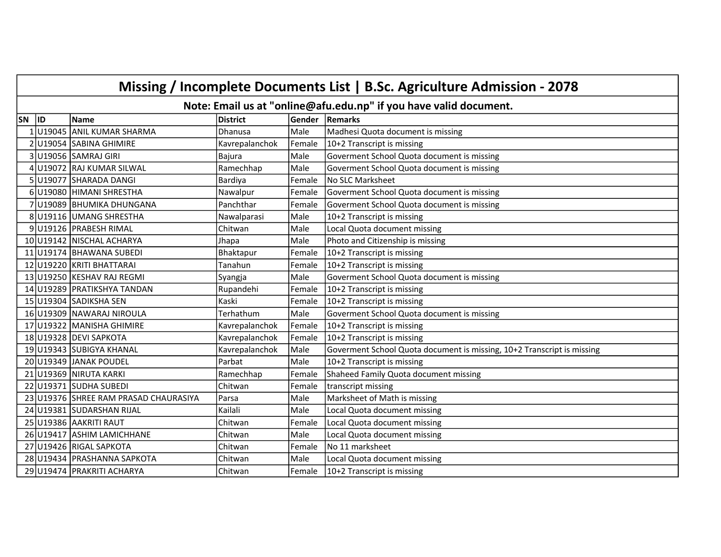|       | Missing / Incomplete Documents List   B.Sc. Agriculture Admission - 2078 |                                       |                 |        |                                                                        |  |  |  |  |
|-------|--------------------------------------------------------------------------|---------------------------------------|-----------------|--------|------------------------------------------------------------------------|--|--|--|--|
|       | Note: Email us at "online@afu.edu.np" if you have valid document.        |                                       |                 |        |                                                                        |  |  |  |  |
| SN ID |                                                                          | Name                                  | <b>District</b> | Gender | Remarks                                                                |  |  |  |  |
|       |                                                                          | 1 U19045 ANIL KUMAR SHARMA            | <b>Dhanusa</b>  | Male   | Madhesi Quota document is missing                                      |  |  |  |  |
|       |                                                                          | 2 U19054 SABINA GHIMIRE               | Kavrepalanchok  | Female | 10+2 Transcript is missing                                             |  |  |  |  |
|       |                                                                          | 3U19056 SAMRAJ GIRI                   | <b>Bajura</b>   | Male   | Goverment School Quota document is missing                             |  |  |  |  |
|       |                                                                          | 4 U19072 RAJ KUMAR SILWAL             | Ramechhap       | Male   | Goverment School Quota document is missing                             |  |  |  |  |
|       |                                                                          | 5 U19077 SHARADA DANGI                | Bardiya         | Female | <b>No SLC Marksheet</b>                                                |  |  |  |  |
|       |                                                                          | 6 U19080 HIMANI SHRESTHA              | Nawalpur        | Female | Goverment School Quota document is missing                             |  |  |  |  |
|       |                                                                          | 7 U19089 BHUMIKA DHUNGANA             | Panchthar       | Female | Goverment School Quota document is missing                             |  |  |  |  |
|       |                                                                          | 8 U19116 UMANG SHRESTHA               | Nawalparasi     | Male   | 10+2 Transcript is missing                                             |  |  |  |  |
|       |                                                                          | 9U19126 PRABESH RIMAL                 | Chitwan         | Male   | Local Quota document missing                                           |  |  |  |  |
|       |                                                                          | 10 U19142 NISCHAL ACHARYA             | Jhapa           | Male   | Photo and Citizenship is missing                                       |  |  |  |  |
|       |                                                                          | 11 U19174 BHAWANA SUBEDI              | Bhaktapur       | Female | 10+2 Transcript is missing                                             |  |  |  |  |
|       |                                                                          | 12 U19220 KRITI BHATTARAI             | Tanahun         | Female | 10+2 Transcript is missing                                             |  |  |  |  |
|       |                                                                          | 13 U19250 KESHAV RAJ REGMI            | Syangja         | Male   | Goverment School Quota document is missing                             |  |  |  |  |
|       |                                                                          | 14 U19289 PRATIKSHYA TANDAN           | Rupandehi       | Female | 10+2 Transcript is missing                                             |  |  |  |  |
|       |                                                                          | 15 U19304 SADIKSHA SEN                | Kaski           | Female | 10+2 Transcript is missing                                             |  |  |  |  |
|       |                                                                          | 16 U19309 NAWARAJ NIROULA             | Terhathum       | Male   | Goverment School Quota document is missing                             |  |  |  |  |
|       |                                                                          | 17 U19322 MANISHA GHIMIRE             | Kavrepalanchok  | Female | 10+2 Transcript is missing                                             |  |  |  |  |
|       |                                                                          | 18 U19328 DEVI SAPKOTA                | Kavrepalanchok  | Female | 10+2 Transcript is missing                                             |  |  |  |  |
|       |                                                                          | 19 U19343 SUBIGYA KHANAL              | Kavrepalanchok  | Male   | Goverment School Quota document is missing, 10+2 Transcript is missing |  |  |  |  |
|       |                                                                          | 20 U19349 JANAK POUDEL                | Parbat          | Male   | 10+2 Transcript is missing                                             |  |  |  |  |
|       |                                                                          | 21 U19369 NIRUTA KARKI                | Ramechhap       | Female | Shaheed Family Quota document missing                                  |  |  |  |  |
|       |                                                                          | 22 U19371 SUDHA SUBEDI                | Chitwan         | Female | transcript missing                                                     |  |  |  |  |
|       |                                                                          | 23 U19376 SHREE RAM PRASAD CHAURASIYA | Parsa           | Male   | Marksheet of Math is missing                                           |  |  |  |  |
|       |                                                                          | 24 U19381 SUDARSHAN RIJAL             | Kailali         | Male   | Local Quota document missing                                           |  |  |  |  |
|       |                                                                          | 25 U19386 AAKRITI RAUT                | Chitwan         | Female | Local Quota document missing                                           |  |  |  |  |
|       |                                                                          | 26 U19417 ASHIM LAMICHHANE            | Chitwan         | Male   | Local Quota document missing                                           |  |  |  |  |
|       |                                                                          | 27 U19426 RIGAL SAPKOTA               | Chitwan         | Female | No 11 marksheet                                                        |  |  |  |  |
|       |                                                                          | 28 U19434 PRASHANNA SAPKOTA           | Chitwan         | Male   | Local Quota document missing                                           |  |  |  |  |
|       |                                                                          | 29 U19474 PRAKRITI ACHARYA            | Chitwan         | Female | 10+2 Transcript is missing                                             |  |  |  |  |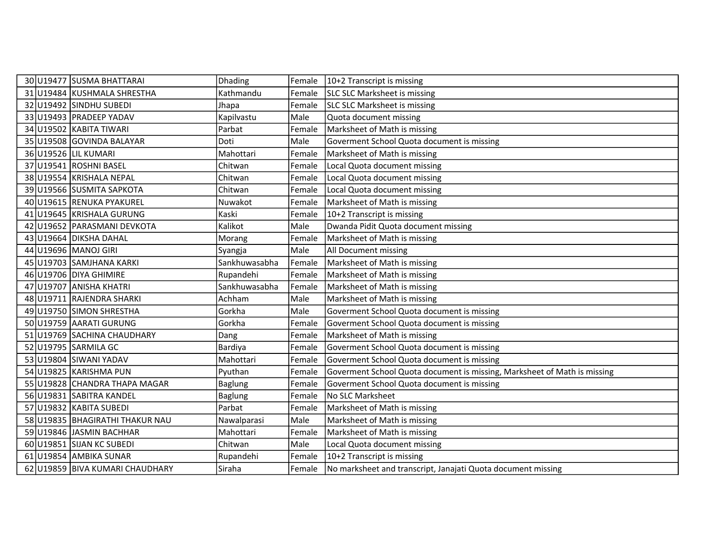|  | 30 U19477 SUSMA BHATTARAI       | Dhading        | Female | 10+2 Transcript is missing                                               |
|--|---------------------------------|----------------|--------|--------------------------------------------------------------------------|
|  | 31 U19484 KUSHMALA SHRESTHA     | Kathmandu      | Female | SLC SLC Marksheet is missing                                             |
|  | 32 U19492 SINDHU SUBEDI         | Jhapa          | Female | SLC SLC Marksheet is missing                                             |
|  | 33 U19493 PRADEEP YADAV         | Kapilvastu     | Male   | Quota document missing                                                   |
|  | 34 U19502 KABITA TIWARI         | Parbat         | Female | Marksheet of Math is missing                                             |
|  | 35 U19508 GOVINDA BALAYAR       | Doti           | Male   | Goverment School Quota document is missing                               |
|  | 36 U19526 LIL KUMARI            | Mahottari      | Female | Marksheet of Math is missing                                             |
|  | 37 U19541 ROSHNI BASEL          | Chitwan        | Female | Local Quota document missing                                             |
|  | 38 U19554 KRISHALA NEPAL        | Chitwan        | Female | Local Quota document missing                                             |
|  | 39 U19566 SUSMITA SAPKOTA       | Chitwan        | Female | Local Quota document missing                                             |
|  | 40 U19615 RENUKA PYAKUREL       | Nuwakot        | Female | Marksheet of Math is missing                                             |
|  | 41 U19645 KRISHALA GURUNG       | Kaski          | Female | 10+2 Transcript is missing                                               |
|  | 42 U19652 PARASMANI DEVKOTA     | Kalikot        | Male   | Dwanda Pidit Quota document missing                                      |
|  | 43 U19664 DIKSHA DAHAL          | Morang         | Female | Marksheet of Math is missing                                             |
|  | 44 U19696 MANOJ GIRI            | Syangja        | Male   | All Document missing                                                     |
|  | 45 U19703 SAMJHANA KARKI        | Sankhuwasabha  | Female | Marksheet of Math is missing                                             |
|  | 46 U19706 DIYA GHIMIRE          | Rupandehi      | Female | Marksheet of Math is missing                                             |
|  | 47 U19707 ANISHA KHATRI         | Sankhuwasabha  | Female | Marksheet of Math is missing                                             |
|  | 48 U19711 RAJENDRA SHARKI       | Achham         | Male   | Marksheet of Math is missing                                             |
|  | 49 U19750 SIMON SHRESTHA        | Gorkha         | Male   | Goverment School Quota document is missing                               |
|  | 50 U19759 AARATI GURUNG         | Gorkha         | Female | Goverment School Quota document is missing                               |
|  | 51 U19769 SACHINA CHAUDHARY     | Dang           | Female | Marksheet of Math is missing                                             |
|  | 52 U19795 SARMILA GC            | Bardiya        | Female | Goverment School Quota document is missing                               |
|  | 53 U19804 SIWANI YADAV          | Mahottari      | Female | Goverment School Quota document is missing                               |
|  | 54 U19825 KARISHMA PUN          | Pyuthan        | Female | Goverment School Quota document is missing, Marksheet of Math is missing |
|  | 55 U19828 CHANDRA THAPA MAGAR   | <b>Baglung</b> | Female | Goverment School Quota document is missing                               |
|  | 56 U19831 SABITRA KANDEL        | Baglung        | Female | No SLC Marksheet                                                         |
|  | 57 U19832 KABITA SUBEDI         | Parbat         | Female | Marksheet of Math is missing                                             |
|  | 58 U19835 BHAGIRATHI THAKUR NAU | Nawalparasi    | Male   | Marksheet of Math is missing                                             |
|  | 59 U19846 JASMIN BACHHAR        | Mahottari      | Female | Marksheet of Math is missing                                             |
|  | 60 U19851 SIJAN KC SUBEDI       | Chitwan        | Male   | Local Quota document missing                                             |
|  | 61 U19854 AMBIKA SUNAR          | Rupandehi      | Female | 10+2 Transcript is missing                                               |
|  | 62 U19859 BIVA KUMARI CHAUDHARY | Siraha         | Female | No marksheet and transcript, Janajati Quota document missing             |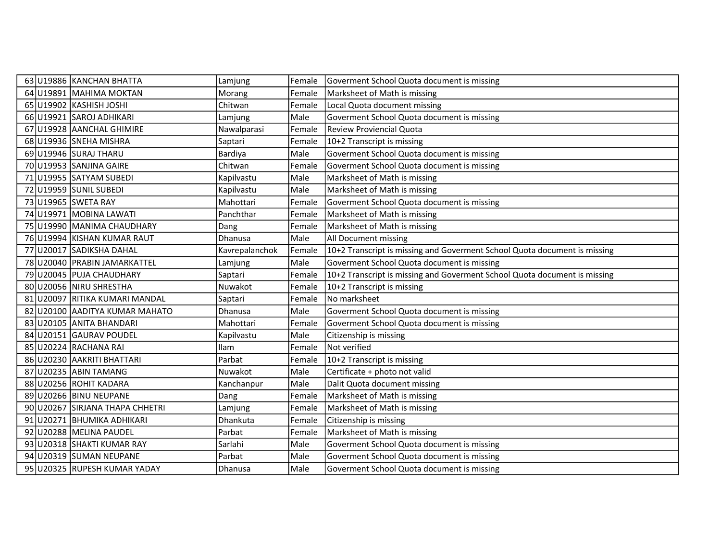|  | 63 U19886 KANCHAN BHATTA        | Lamjung        | Female | Goverment School Quota document is missing                                |
|--|---------------------------------|----------------|--------|---------------------------------------------------------------------------|
|  | 64 U19891 MAHIMA MOKTAN         | Morang         | Female | Marksheet of Math is missing                                              |
|  | 65 U19902 KASHISH JOSHI         | Chitwan        | Female | Local Quota document missing                                              |
|  | 66 U19921 SAROJ ADHIKARI        | Lamjung        | Male   | Goverment School Quota document is missing                                |
|  | 67 U19928 AANCHAL GHIMIRE       | Nawalparasi    | Female | <b>Review Proviencial Quota</b>                                           |
|  | 68 U19936 SNEHA MISHRA          | Saptari        | Female | 10+2 Transcript is missing                                                |
|  | 69 U19946 SURAJ THARU           | Bardiya        | Male   | Goverment School Quota document is missing                                |
|  | 70 U19953 SANJINA GAIRE         | Chitwan        | Female | Goverment School Quota document is missing                                |
|  | 71 U19955 SATYAM SUBEDI         | Kapilvastu     | Male   | Marksheet of Math is missing                                              |
|  | 72 U19959 SUNIL SUBEDI          | Kapilvastu     | Male   | Marksheet of Math is missing                                              |
|  | 73 U19965 SWETA RAY             | Mahottari      | Female | Goverment School Quota document is missing                                |
|  | 74 U19971 MOBINA LAWATI         | Panchthar      | Female | Marksheet of Math is missing                                              |
|  | 75 U19990 MANIMA CHAUDHARY      | Dang           | Female | Marksheet of Math is missing                                              |
|  | 76 U19994 KISHAN KUMAR RAUT     | Dhanusa        | Male   | All Document missing                                                      |
|  | 77 U20017 SADIKSHA DAHAL        | Kavrepalanchok | Female | 10+2 Transcript is missing and Goverment School Quota document is missing |
|  | 78 U20040 PRABIN JAMARKATTEL    | Lamjung        | Male   | Goverment School Quota document is missing                                |
|  | 79 U20045 PUJA CHAUDHARY        | Saptari        | Female | 10+2 Transcript is missing and Goverment School Quota document is missing |
|  | 80 U20056 NIRU SHRESTHA         | Nuwakot        | Female | 10+2 Transcript is missing                                                |
|  | 81 U20097 RITIKA KUMARI MANDAL  | Saptari        | Female | No marksheet                                                              |
|  | 82 U20100 AADITYA KUMAR MAHATO  | Dhanusa        | Male   | Goverment School Quota document is missing                                |
|  | 83 U20105 ANITA BHANDARI        | Mahottari      | Female | Goverment School Quota document is missing                                |
|  | 84 U20151 GAURAV POUDEL         | Kapilvastu     | Male   | Citizenship is missing                                                    |
|  | 85 U20224 RACHANA RAI           | Ilam           | Female | Not verified                                                              |
|  | 86 U20230 AAKRITI BHATTARI      | Parbat         | Female | 10+2 Transcript is missing                                                |
|  | 87 U20235 ABIN TAMANG           | Nuwakot        | Male   | Certificate + photo not valid                                             |
|  | 88 U20256 ROHIT KADARA          | Kanchanpur     | Male   | Dalit Quota document missing                                              |
|  | 89 U20266 BINU NEUPANE          | Dang           | Female | Marksheet of Math is missing                                              |
|  | 90 U20267 SIRJANA THAPA CHHETRI | Lamjung        | Female | Marksheet of Math is missing                                              |
|  | 91 U20271 BHUMIKA ADHIKARI      | Dhankuta       | Female | Citizenship is missing                                                    |
|  | 92 U20288 MELINA PAUDEL         | Parbat         | Female | Marksheet of Math is missing                                              |
|  | 93 U20318 SHAKTI KUMAR RAY      | Sarlahi        | Male   | Goverment School Quota document is missing                                |
|  | 94 U20319 SUMAN NEUPANE         | Parbat         | Male   | Goverment School Quota document is missing                                |
|  | 95 U20325 RUPESH KUMAR YADAY    | Dhanusa        | Male   | Goverment School Quota document is missing                                |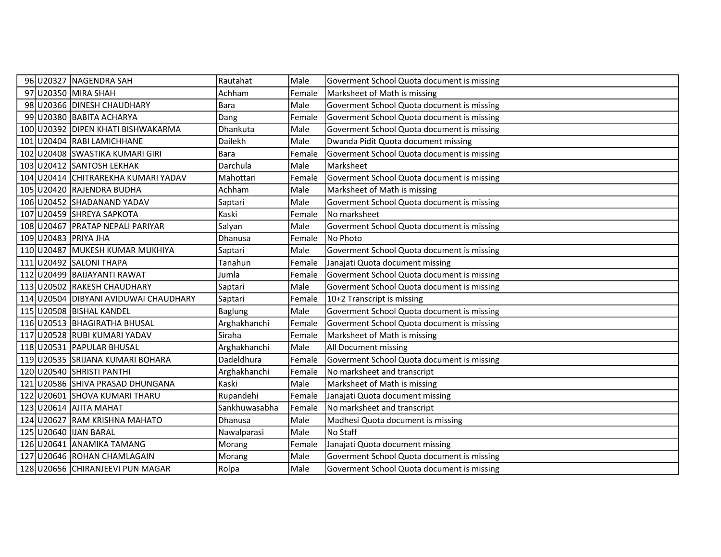|  | 96 U20327 NAGENDRA SAH                | Rautahat      | Male   | Goverment School Quota document is missing |
|--|---------------------------------------|---------------|--------|--------------------------------------------|
|  | 97 U20350 MIRA SHAH                   | Achham        | Female | Marksheet of Math is missing               |
|  | 98 U20366 DINESH CHAUDHARY            | <b>Bara</b>   | Male   | Goverment School Quota document is missing |
|  | 99 U20380 BABITA ACHARYA              | Dang          | Female | Goverment School Quota document is missing |
|  | 100 U20392 DIPEN KHATI BISHWAKARMA    | Dhankuta      | Male   | Goverment School Quota document is missing |
|  | 101 U20404 RABI LAMICHHANE            | Dailekh       | Male   | Dwanda Pidit Quota document missing        |
|  | 102 U20408 SWASTIKA KUMARI GIRI       | <b>Bara</b>   | Female | Goverment School Quota document is missing |
|  | 103 U20412 SANTOSH LEKHAK             | Darchula      | Male   | Marksheet                                  |
|  | 104 U20414 CHITRAREKHA KUMARI YADAV   | Mahottari     | Female | Goverment School Quota document is missing |
|  | 105 U20420 RAJENDRA BUDHA             | Achham        | Male   | Marksheet of Math is missing               |
|  | 106 U20452 SHADANAND YADAV            | Saptari       | Male   | Goverment School Quota document is missing |
|  | 107 U20459 SHREYA SAPKOTA             | Kaski         | Female | No marksheet                               |
|  | 108 U20467 PRATAP NEPALI PARIYAR      | Salyan        | Male   | Goverment School Quota document is missing |
|  | 109 U20483 PRIYA JHA                  | Dhanusa       | Female | No Photo                                   |
|  | 110 U20487 MUKESH KUMAR MUKHIYA       | Saptari       | Male   | Goverment School Quota document is missing |
|  | 111 U20492 SALONI THAPA               | Tanahun       | Female | Janajati Quota document missing            |
|  | 112 U20499 BAIJAYANTI RAWAT           | Jumla         | Female | Goverment School Quota document is missing |
|  | 113 U20502 RAKESH CHAUDHARY           | Saptari       | Male   | Goverment School Quota document is missing |
|  | 114 U20504 DIBYANI AVIDUWAI CHAUDHARY | Saptari       | Female | 10+2 Transcript is missing                 |
|  | 115 U20508 BISHAL KANDEL              | Baglung       | Male   | Goverment School Quota document is missing |
|  | 116 U20513 BHAGIRATHA BHUSAL          | Arghakhanchi  | Female | Goverment School Quota document is missing |
|  | 117 U20528 RUBI KUMARI YADAV          | Siraha        | Female | Marksheet of Math is missing               |
|  | 118 U20531 PAPULAR BHUSAL             | Arghakhanchi  | Male   | All Document missing                       |
|  | 119 U20535 SRIJANA KUMARI BOHARA      | Dadeldhura    | Female | Goverment School Quota document is missing |
|  | 120 U20540 SHRISTI PANTHI             | Arghakhanchi  | Female | No marksheet and transcript                |
|  | 121 U20586 SHIVA PRASAD DHUNGANA      | Kaski         | Male   | Marksheet of Math is missing               |
|  | 122 U20601 SHOVA KUMARI THARU         | Rupandehi     | Female | Janajati Quota document missing            |
|  | 123 U20614 AJITA MAHAT                | Sankhuwasabha | Female | No marksheet and transcript                |
|  | 124 U20627 RAM KRISHNA MAHATO         | Dhanusa       | Male   | Madhesi Quota document is missing          |
|  | 125 U20640 JUAN BARAL                 | Nawalparasi   | Male   | No Staff                                   |
|  | 126 U20641 ANAMIKA TAMANG             | Morang        | Female | Janajati Quota document missing            |
|  | 127 U20646 ROHAN CHAMLAGAIN           | Morang        | Male   | Goverment School Quota document is missing |
|  | 128 U20656 CHIRANJEEVI PUN MAGAR      | Rolpa         | Male   | Goverment School Quota document is missing |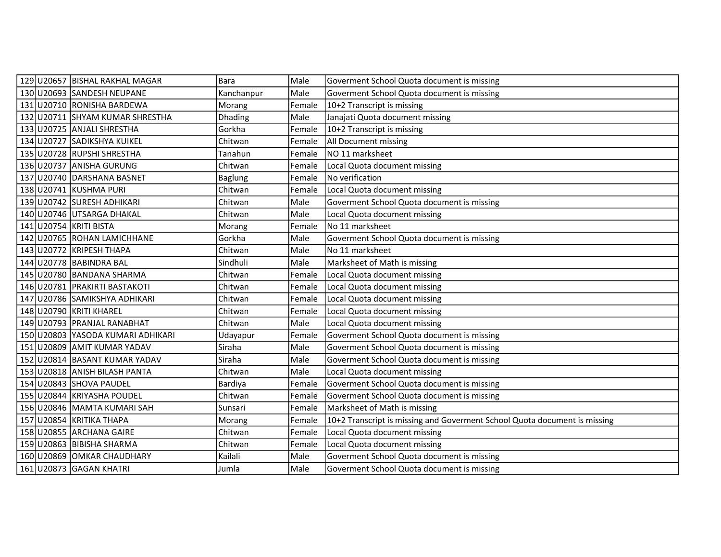|  | 129 U20657 BISHAL RAKHAL MAGAR    | Bara           | Male   | Goverment School Quota document is missing                                |
|--|-----------------------------------|----------------|--------|---------------------------------------------------------------------------|
|  | 130 U20693 SANDESH NEUPANE        | Kanchanpur     | Male   | Goverment School Quota document is missing                                |
|  | 131 U20710 RONISHA BARDEWA        | Morang         | Female | 10+2 Transcript is missing                                                |
|  | 132 U20711 SHYAM KUMAR SHRESTHA   | Dhading        | Male   | Janajati Quota document missing                                           |
|  | 133 U20725 ANJALI SHRESTHA        | Gorkha         | Female | 10+2 Transcript is missing                                                |
|  | 134 U20727 SADIKSHYA KUIKEL       | Chitwan        | Female | All Document missing                                                      |
|  | 135 U20728 RUPSHI SHRESTHA        | Tanahun        | Female | NO 11 marksheet                                                           |
|  | 136 U20737 ANISHA GURUNG          | Chitwan        | Female | Local Quota document missing                                              |
|  | 137 U20740 DARSHANA BASNET        | <b>Baglung</b> | Female | No verification                                                           |
|  | 138 U20741 KUSHMA PURI            | Chitwan        | Female | Local Quota document missing                                              |
|  | 139 U20742 SURESH ADHIKARI        | Chitwan        | Male   | Goverment School Quota document is missing                                |
|  | 140 U20746 UTSARGA DHAKAL         | Chitwan        | Male   | Local Quota document missing                                              |
|  | 141 U20754 KRITI BISTA            | Morang         | Female | No 11 marksheet                                                           |
|  | 142 U20765 ROHAN LAMICHHANE       | Gorkha         | Male   | Goverment School Quota document is missing                                |
|  | 143 U20772 KRIPESH THAPA          | Chitwan        | Male   | No 11 marksheet                                                           |
|  | 144 U20778 BABINDRA BAL           | Sindhuli       | Male   | Marksheet of Math is missing                                              |
|  | 145 U20780 BANDANA SHARMA         | Chitwan        | Female | Local Quota document missing                                              |
|  | 146 U20781 PRAKIRTI BASTAKOTI     | Chitwan        | Female | Local Quota document missing                                              |
|  | 147 U20786 SAMIKSHYA ADHIKARI     | Chitwan        | Female | Local Quota document missing                                              |
|  | 148 U20790 KRITI KHAREL           | Chitwan        | Female | Local Quota document missing                                              |
|  | 149 U20793 PRANJAL RANABHAT       | Chitwan        | Male   | Local Quota document missing                                              |
|  | 150 U20803 YASODA KUMARI ADHIKARI | Udayapur       | Female | Goverment School Quota document is missing                                |
|  | 151 U20809 AMIT KUMAR YADAV       | Siraha         | Male   | Goverment School Quota document is missing                                |
|  | 152 U20814 BASANT KUMAR YADAV     | Siraha         | Male   | Goverment School Quota document is missing                                |
|  | 153 U20818 ANISH BILASH PANTA     | Chitwan        | Male   | Local Quota document missing                                              |
|  | 154 U20843 SHOVA PAUDEL           | Bardiya        | Female | Goverment School Quota document is missing                                |
|  | 155 U20844 KRIYASHA POUDEL        | Chitwan        | Female | Goverment School Quota document is missing                                |
|  | 156 U20846 MAMTA KUMARI SAH       | Sunsari        | Female | Marksheet of Math is missing                                              |
|  | 157 U20854 KRITIKA THAPA          | Morang         | Female | 10+2 Transcript is missing and Goverment School Quota document is missing |
|  | 158 U20855 ARCHANA GAIRE          | Chitwan        | Female | Local Quota document missing                                              |
|  | 159 U20863 BIBISHA SHARMA         | Chitwan        | Female | Local Quota document missing                                              |
|  | 160 U20869 OMKAR CHAUDHARY        | Kailali        | Male   | Goverment School Quota document is missing                                |
|  | 161 U20873 GAGAN KHATRI           | Jumla          | Male   | Goverment School Quota document is missing                                |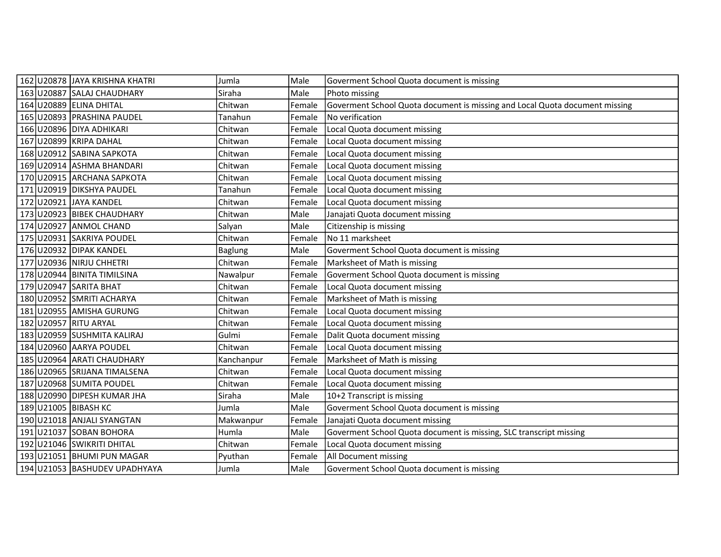|  | 162 U20878 JAYA KRISHNA KHATRI | Jumla          | Male   | Goverment School Quota document is missing                                  |
|--|--------------------------------|----------------|--------|-----------------------------------------------------------------------------|
|  | 163 U20887 SALAJ CHAUDHARY     | Siraha         | Male   | Photo missing                                                               |
|  | 164 U20889 ELINA DHITAL        | Chitwan        | Female | Goverment School Quota document is missing and Local Quota document missing |
|  | 165 U20893 PRASHINA PAUDEL     | Tanahun        | Female | No verification                                                             |
|  | 166 U20896 DIYA ADHIKARI       | Chitwan        | Female | Local Quota document missing                                                |
|  | 167 U20899 KRIPA DAHAL         | Chitwan        | Female | Local Quota document missing                                                |
|  | 168 U20912 SABINA SAPKOTA      | Chitwan        | Female | Local Quota document missing                                                |
|  | 169 U20914 ASHMA BHANDARI      | Chitwan        | Female | Local Quota document missing                                                |
|  | 170 U20915 ARCHANA SAPKOTA     | Chitwan        | Female | Local Quota document missing                                                |
|  | 171 U20919 DIKSHYA PAUDEL      | Tanahun        | Female | Local Quota document missing                                                |
|  | 172 U20921 JAYA KANDEL         | Chitwan        | Female | Local Quota document missing                                                |
|  | 173 U20923 BIBEK CHAUDHARY     | Chitwan        | Male   | Janajati Quota document missing                                             |
|  | 174 U20927 ANMOL CHAND         | Salyan         | Male   | Citizenship is missing                                                      |
|  | 175 U20931 SAKRIYA POUDEL      | Chitwan        | Female | No 11 marksheet                                                             |
|  | 176 U20932 DIPAK KANDEL        | <b>Baglung</b> | Male   | Goverment School Quota document is missing                                  |
|  | 177 U20936 NIRJU CHHETRI       | Chitwan        | Female | Marksheet of Math is missing                                                |
|  | 178 U20944 BINITA TIMILSINA    | Nawalpur       | Female | Goverment School Quota document is missing                                  |
|  | 179 U20947 SARITA BHAT         | Chitwan        | Female | Local Quota document missing                                                |
|  | 180 U20952 SMRITI ACHARYA      | Chitwan        | Female | Marksheet of Math is missing                                                |
|  | 181 U20955 AMISHA GURUNG       | Chitwan        | Female | Local Quota document missing                                                |
|  | 182 U20957 RITU ARYAL          | Chitwan        | Female | Local Quota document missing                                                |
|  | 183 U20959 SUSHMITA KALIRAJ    | Gulmi          | Female | Dalit Quota document missing                                                |
|  | 184 U20960 AARYA POUDEL        | Chitwan        | Female | Local Quota document missing                                                |
|  | 185 U20964 ARATI CHAUDHARY     | Kanchanpur     | Female | Marksheet of Math is missing                                                |
|  | 186 U20965 SRIJANA TIMALSENA   | Chitwan        | Female | Local Quota document missing                                                |
|  | 187 U20968 SUMITA POUDEL       | Chitwan        | Female | Local Quota document missing                                                |
|  | 188 U20990 DIPESH KUMAR JHA    | Siraha         | Male   | 10+2 Transcript is missing                                                  |
|  | 189 U21005 BIBASH KC           | Jumla          | Male   | Goverment School Quota document is missing                                  |
|  | 190 U21018 ANJALI SYANGTAN     | Makwanpur      | Female | Janajati Quota document missing                                             |
|  | 191 U21037 SOBAN BOHORA        | Humla          | Male   | Goverment School Quota document is missing, SLC transcript missing          |
|  | 192 U21046 SWIKRITI DHITAL     | Chitwan        | Female | Local Quota document missing                                                |
|  | 193 U21051 BHUMI PUN MAGAR     | Pyuthan        | Female | All Document missing                                                        |
|  | 194 U21053 BASHUDEV UPADHYAYA  | Jumla          | Male   | Goverment School Quota document is missing                                  |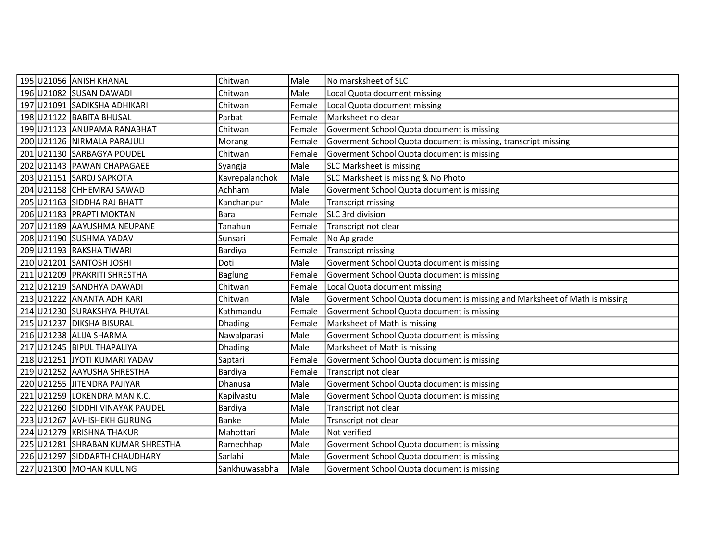|  | 195 U21056 ANISH KHANAL           | Chitwan        | Male   | No marsksheet of SLC                                                        |
|--|-----------------------------------|----------------|--------|-----------------------------------------------------------------------------|
|  | 196 U21082 SUSAN DAWADI           | Chitwan        | Male   | Local Quota document missing                                                |
|  | 197 U21091 SADIKSHA ADHIKARI      | Chitwan        | Female | Local Quota document missing                                                |
|  | 198 U21122 BABITA BHUSAL          | Parbat         | Female | Marksheet no clear                                                          |
|  | 199 U21123 ANUPAMA RANABHAT       | Chitwan        | Female | Goverment School Quota document is missing                                  |
|  | 200 U21126 NIRMALA PARAJULI       | Morang         | Female | Goverment School Quota document is missing, transcript missing              |
|  | 201 U21130 SARBAGYA POUDEL        | Chitwan        | Female | Goverment School Quota document is missing                                  |
|  | 202 U21143 PAWAN CHAPAGAEE        | Syangja        | Male   | SLC Marksheet is missing                                                    |
|  | 203 U21151 SAROJ SAPKOTA          | Kavrepalanchok | Male   | SLC Marksheet is missing & No Photo                                         |
|  | 204 U21158 CHHEMRAJ SAWAD         | Achham         | Male   | Goverment School Quota document is missing                                  |
|  | 205 U21163 SIDDHA RAJ BHATT       | Kanchanpur     | Male   | <b>Transcript missing</b>                                                   |
|  | 206 U21183 PRAPTI MOKTAN          | Bara           | Female | SLC 3rd division                                                            |
|  | 207 U21189 AAYUSHMA NEUPANE       | Tanahun        | Female | Transcript not clear                                                        |
|  | 208 U21190 SUSHMA YADAV           | Sunsari        | Female | No Ap grade                                                                 |
|  | 209 U21193 RAKSHA TIWARI          | Bardiya        | Female | <b>Transcript missing</b>                                                   |
|  | 210 U21201 SANTOSH JOSHI          | Doti           | Male   | Goverment School Quota document is missing                                  |
|  | 211 U21209 PRAKRITI SHRESTHA      | Baglung        | Female | Goverment School Quota document is missing                                  |
|  | 212 U21219 SANDHYA DAWADI         | Chitwan        | Female | Local Quota document missing                                                |
|  | 213 U21222 ANANTA ADHIKARI        | Chitwan        | Male   | Goverment School Quota document is missing and Marksheet of Math is missing |
|  | 214 U21230 SURAKSHYA PHUYAL       | Kathmandu      | Female | Goverment School Quota document is missing                                  |
|  | 215 U21237 DIKSHA BISURAL         | <b>Dhading</b> | Female | Marksheet of Math is missing                                                |
|  | 216 U21238 ALIJA SHARMA           | Nawalparasi    | Male   | Goverment School Quota document is missing                                  |
|  | 217 U21245 BIPUL THAPALIYA        | Dhading        | Male   | Marksheet of Math is missing                                                |
|  | 218 U21251 JYOTI KUMARI YADAV     | Saptari        | Female | Goverment School Quota document is missing                                  |
|  | 219 U21252 AAYUSHA SHRESTHA       | Bardiya        | Female | Transcript not clear                                                        |
|  | 220 U21255 JITENDRA PAJIYAR       | Dhanusa        | Male   | Goverment School Quota document is missing                                  |
|  | 221 U21259 LOKENDRA MAN K.C.      | Kapilvastu     | Male   | Goverment School Quota document is missing                                  |
|  | 222 U21260 SIDDHI VINAYAK PAUDEL  | Bardiya        | Male   | Transcript not clear                                                        |
|  | 223 U21267 AVHISHEKH GURUNG       | Banke          | Male   | Trsnscript not clear                                                        |
|  | 224 U21279 KRISHNA THAKUR         | Mahottari      | Male   | Not verified                                                                |
|  | 225 U21281 SHRABAN KUMAR SHRESTHA | Ramechhap      | Male   | Goverment School Quota document is missing                                  |
|  | 226 U21297 SIDDARTH CHAUDHARY     | <b>Sarlahi</b> | Male   | Goverment School Quota document is missing                                  |
|  | 227 U21300 MOHAN KULUNG           | Sankhuwasabha  | Male   | Goverment School Quota document is missing                                  |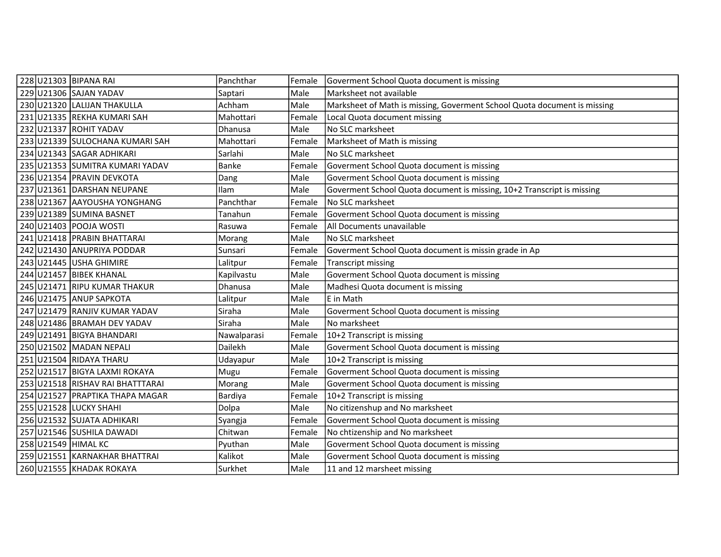|  | 228 U21303 BIPANA RAI            | Panchthar      | Female | Goverment School Quota document is missing                               |
|--|----------------------------------|----------------|--------|--------------------------------------------------------------------------|
|  | 229 U21306 SAJAN YADAV           | Saptari        | Male   | Marksheet not available                                                  |
|  | 230 U21320 LALIJAN THAKULLA      | Achham         | Male   | Marksheet of Math is missing, Goverment School Quota document is missing |
|  | 231 U21335 REKHA KUMARI SAH      | Mahottari      | Female | Local Quota document missing                                             |
|  | 232 U21337 ROHIT YADAV           | Dhanusa        | Male   | No SLC marksheet                                                         |
|  | 233 U21339 SULOCHANA KUMARI SAH  | Mahottari      | Female | Marksheet of Math is missing                                             |
|  | 234 U21343 SAGAR ADHIKARI        | Sarlahi        | Male   | No SLC marksheet                                                         |
|  | 235 U21353 SUMITRA KUMARI YADAV  | Banke          | Female | Goverment School Quota document is missing                               |
|  | 236 U21354 PRAVIN DEVKOTA        | Dang           | Male   | Goverment School Quota document is missing                               |
|  | 237 U21361 DARSHAN NEUPANE       | Ilam           | Male   | Goverment School Quota document is missing, 10+2 Transcript is missing   |
|  | 238 U21367 AAYOUSHA YONGHANG     | Panchthar      | Female | No SLC marksheet                                                         |
|  | 239 U21389 SUMINA BASNET         | Tanahun        | Female | Goverment School Quota document is missing                               |
|  | 240 U21403 POOJA WOSTI           | Rasuwa         | Female | All Documents unavailable                                                |
|  | 241 U21418 PRABIN BHATTARAI      | Morang         | Male   | No SLC marksheet                                                         |
|  | 242 U21430 ANUPRIYA PODDAR       | Sunsari        | Female | Goverment School Quota document is missin grade in Ap                    |
|  | 243 U21445 USHA GHIMIRE          | Lalitpur       | Female | <b>Transcript missing</b>                                                |
|  | 244 U21457 BIBEK KHANAL          | Kapilvastu     | Male   | Goverment School Quota document is missing                               |
|  | 245 U21471 RIPU KUMAR THAKUR     | <b>Dhanusa</b> | Male   | Madhesi Quota document is missing                                        |
|  | 246 U21475 ANUP SAPKOTA          | Lalitpur       | Male   | E in Math                                                                |
|  | 247 U21479 RANJIV KUMAR YADAV    | Siraha         | Male   | Goverment School Quota document is missing                               |
|  | 248 U21486 BRAMAH DEV YADAV      | Siraha         | Male   | No marksheet                                                             |
|  | 249 U21491 BIGYA BHANDARI        | Nawalparasi    | Female | 10+2 Transcript is missing                                               |
|  | 250 U21502 MADAN NEPALI          | Dailekh        | Male   | Goverment School Quota document is missing                               |
|  | 251 U21504 RIDAYA THARU          | Udayapur       | Male   | 10+2 Transcript is missing                                               |
|  | 252 U21517 BIGYA LAXMI ROKAYA    | Mugu           | Female | Goverment School Quota document is missing                               |
|  | 253 U21518 RISHAV RAI BHATTTARAI | Morang         | Male   | Goverment School Quota document is missing                               |
|  | 254 U21527 PRAPTIKA THAPA MAGAR  | Bardiya        | Female | 10+2 Transcript is missing                                               |
|  | 255 U21528 LUCKY SHAHI           | Dolpa          | Male   | No citizenshup and No marksheet                                          |
|  | 256 U21532 SUJATA ADHIKARI       | Syangja        | Female | Goverment School Quota document is missing                               |
|  | 257 U21546 SUSHILA DAWADI        | Chitwan        | Female | No chtizenship and No marksheet                                          |
|  | 258 U21549 HIMAL KC              | Pyuthan        | Male   | Goverment School Quota document is missing                               |
|  | 259 U21551 KARNAKHAR BHATTRAI    | Kalikot        | Male   | Goverment School Quota document is missing                               |
|  | 260 U21555 KHADAK ROKAYA         | Surkhet        | Male   | 11 and 12 marsheet missing                                               |